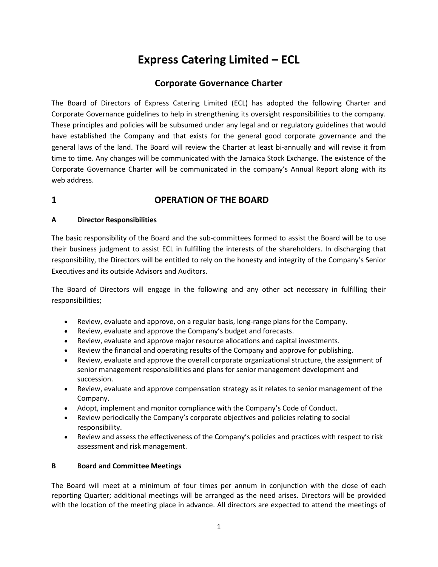# Express Catering Limited – ECL

## Corporate Governance Charter

The Board of Directors of Express Catering Limited (ECL) has adopted the following Charter and Corporate Governance guidelines to help in strengthening its oversight responsibilities to the company. These principles and policies will be subsumed under any legal and or regulatory guidelines that would have established the Company and that exists for the general good corporate governance and the general laws of the land. The Board will review the Charter at least bi-annually and will revise it from time to time. Any changes will be communicated with the Jamaica Stock Exchange. The existence of the Corporate Governance Charter will be communicated in the company's Annual Report along with its web address.

## 1 OPERATION OF THE BOARD

### A Director Responsibilities

The basic responsibility of the Board and the sub-committees formed to assist the Board will be to use their business judgment to assist ECL in fulfilling the interests of the shareholders. In discharging that responsibility, the Directors will be entitled to rely on the honesty and integrity of the Company's Senior Executives and its outside Advisors and Auditors.

The Board of Directors will engage in the following and any other act necessary in fulfilling their responsibilities;

- Review, evaluate and approve, on a regular basis, long-range plans for the Company.
- Review, evaluate and approve the Company's budget and forecasts.
- Review, evaluate and approve major resource allocations and capital investments.
- Review the financial and operating results of the Company and approve for publishing.
- Review, evaluate and approve the overall corporate organizational structure, the assignment of senior management responsibilities and plans for senior management development and succession.
- Review, evaluate and approve compensation strategy as it relates to senior management of the Company.
- Adopt, implement and monitor compliance with the Company's Code of Conduct.
- Review periodically the Company's corporate objectives and policies relating to social responsibility.
- Review and assess the effectiveness of the Company's policies and practices with respect to risk assessment and risk management.

### B Board and Committee Meetings

The Board will meet at a minimum of four times per annum in conjunction with the close of each reporting Quarter; additional meetings will be arranged as the need arises. Directors will be provided with the location of the meeting place in advance. All directors are expected to attend the meetings of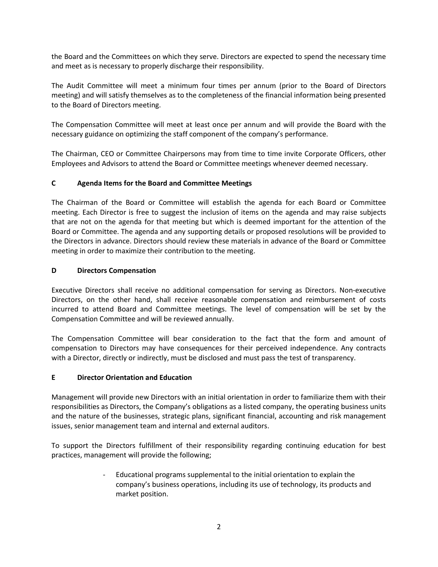the Board and the Committees on which they serve. Directors are expected to spend the necessary time and meet as is necessary to properly discharge their responsibility.

The Audit Committee will meet a minimum four times per annum (prior to the Board of Directors meeting) and will satisfy themselves as to the completeness of the financial information being presented to the Board of Directors meeting.

The Compensation Committee will meet at least once per annum and will provide the Board with the necessary guidance on optimizing the staff component of the company's performance.

The Chairman, CEO or Committee Chairpersons may from time to time invite Corporate Officers, other Employees and Advisors to attend the Board or Committee meetings whenever deemed necessary.

#### C Agenda Items for the Board and Committee Meetings

The Chairman of the Board or Committee will establish the agenda for each Board or Committee meeting. Each Director is free to suggest the inclusion of items on the agenda and may raise subjects that are not on the agenda for that meeting but which is deemed important for the attention of the Board or Committee. The agenda and any supporting details or proposed resolutions will be provided to the Directors in advance. Directors should review these materials in advance of the Board or Committee meeting in order to maximize their contribution to the meeting.

#### D Directors Compensation

Executive Directors shall receive no additional compensation for serving as Directors. Non-executive Directors, on the other hand, shall receive reasonable compensation and reimbursement of costs incurred to attend Board and Committee meetings. The level of compensation will be set by the Compensation Committee and will be reviewed annually.

The Compensation Committee will bear consideration to the fact that the form and amount of compensation to Directors may have consequences for their perceived independence. Any contracts with a Director, directly or indirectly, must be disclosed and must pass the test of transparency.

#### E Director Orientation and Education

Management will provide new Directors with an initial orientation in order to familiarize them with their responsibilities as Directors, the Company's obligations as a listed company, the operating business units and the nature of the businesses, strategic plans, significant financial, accounting and risk management issues, senior management team and internal and external auditors.

To support the Directors fulfillment of their responsibility regarding continuing education for best practices, management will provide the following;

> - Educational programs supplemental to the initial orientation to explain the company's business operations, including its use of technology, its products and market position.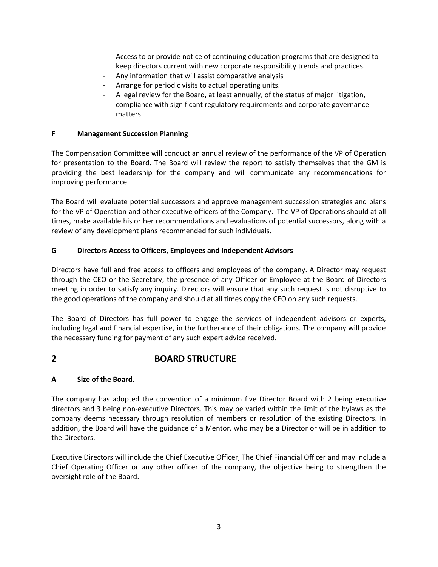- Access to or provide notice of continuing education programs that are designed to keep directors current with new corporate responsibility trends and practices.
- Any information that will assist comparative analysis
- Arrange for periodic visits to actual operating units.
- A legal review for the Board, at least annually, of the status of major litigation, compliance with significant regulatory requirements and corporate governance matters.

#### F Management Succession Planning

The Compensation Committee will conduct an annual review of the performance of the VP of Operation for presentation to the Board. The Board will review the report to satisfy themselves that the GM is providing the best leadership for the company and will communicate any recommendations for improving performance.

The Board will evaluate potential successors and approve management succession strategies and plans for the VP of Operation and other executive officers of the Company. The VP of Operations should at all times, make available his or her recommendations and evaluations of potential successors, along with a review of any development plans recommended for such individuals.

#### G Directors Access to Officers, Employees and Independent Advisors

Directors have full and free access to officers and employees of the company. A Director may request through the CEO or the Secretary, the presence of any Officer or Employee at the Board of Directors meeting in order to satisfy any inquiry. Directors will ensure that any such request is not disruptive to the good operations of the company and should at all times copy the CEO on any such requests.

The Board of Directors has full power to engage the services of independent advisors or experts, including legal and financial expertise, in the furtherance of their obligations. The company will provide the necessary funding for payment of any such expert advice received.

## 2 BOARD STRUCTURE

### A Size of the Board.

The company has adopted the convention of a minimum five Director Board with 2 being executive directors and 3 being non-executive Directors. This may be varied within the limit of the bylaws as the company deems necessary through resolution of members or resolution of the existing Directors. In addition, the Board will have the guidance of a Mentor, who may be a Director or will be in addition to the Directors.

Executive Directors will include the Chief Executive Officer, The Chief Financial Officer and may include a Chief Operating Officer or any other officer of the company, the objective being to strengthen the oversight role of the Board.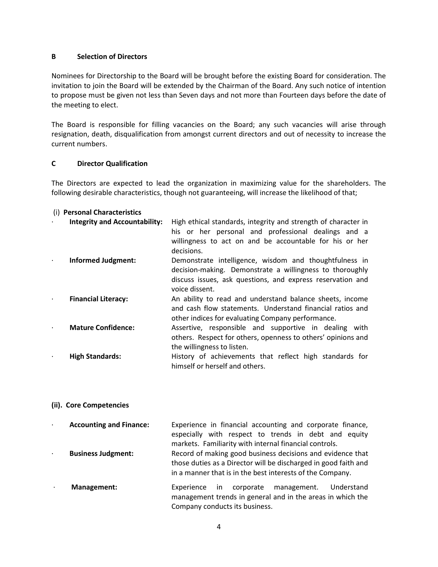#### B Selection of Directors

Nominees for Directorship to the Board will be brought before the existing Board for consideration. The invitation to join the Board will be extended by the Chairman of the Board. Any such notice of intention to propose must be given not less than Seven days and not more than Fourteen days before the date of the meeting to elect.

The Board is responsible for filling vacancies on the Board; any such vacancies will arise through resignation, death, disqualification from amongst current directors and out of necessity to increase the current numbers.

#### C Director Qualification

The Directors are expected to lead the organization in maximizing value for the shareholders. The following desirable characteristics, though not guaranteeing, will increase the likelihood of that;

#### (i) Personal Characteristics

| $\bullet$ | <b>Integrity and Accountability:</b> | High ethical standards, integrity and strength of character in<br>his or her personal and professional dealings and a<br>willingness to act on and be accountable for his or her<br>decisions.     |
|-----------|--------------------------------------|----------------------------------------------------------------------------------------------------------------------------------------------------------------------------------------------------|
|           | <b>Informed Judgment:</b>            | Demonstrate intelligence, wisdom and thoughtfulness in<br>decision-making. Demonstrate a willingness to thoroughly<br>discuss issues, ask questions, and express reservation and<br>voice dissent. |
|           | <b>Financial Literacy:</b>           | An ability to read and understand balance sheets, income<br>and cash flow statements. Understand financial ratios and<br>other indices for evaluating Company performance.                         |
|           | <b>Mature Confidence:</b>            | Assertive, responsible and supportive in dealing with<br>others. Respect for others, openness to others' opinions and<br>the willingness to listen.                                                |
|           | <b>High Standards:</b>               | History of achievements that reflect high standards for<br>himself or herself and others.                                                                                                          |

#### (ii). Core Competencies

- Accounting and Finance: Experience in financial accounting and corporate finance, especially with respect to trends in debt and equity markets. Familiarity with internal financial controls. · Business Judgment: Record of making good business decisions and evidence that those duties as a Director will be discharged in good faith and in a manner that is in the best interests of the Company.
- Management: Experience in corporate management. Understand management trends in general and in the areas in which the Company conducts its business.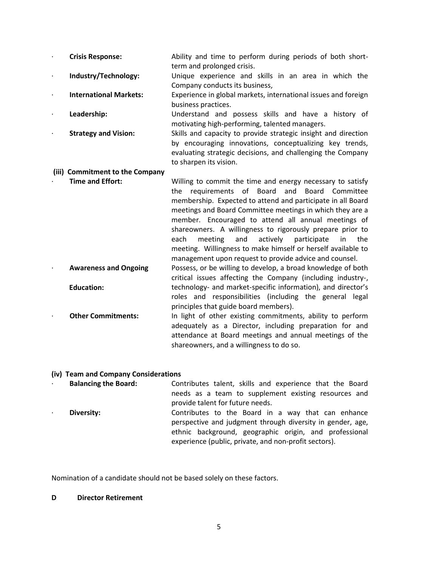- · Crisis Response: Ability and time to perform during periods of both shortterm and prolonged crisis.
- **Industry/Technology:** Unique experience and skills in an area in which the Company conducts its business,
	- International Markets: Experience in global markets, international issues and foreign business practices.
	- Leadership: Understand and possess skills and have a history of motivating high-performing, talented managers.
- · Strategy and Vision: Skills and capacity to provide strategic insight and direction by encouraging innovations, conceptualizing key trends, evaluating strategic decisions, and challenging the Company to sharpen its vision.

#### (iii) Commitment to the Company

- **Time and Effort:** Willing to commit the time and energy necessary to satisfy the requirements of Board and Board Committee membership. Expected to attend and participate in all Board meetings and Board Committee meetings in which they are a member. Encouraged to attend all annual meetings of shareowners. A willingness to rigorously prepare prior to each meeting and actively participate in the meeting. Willingness to make himself or herself available to management upon request to provide advice and counsel. · Awareness and Ongoing Possess, or be willing to develop, a broad knowledge of both
- Education: critical issues affecting the Company (including industry-, technology- and market-specific information), and director's roles and responsibilities (including the general legal principles that guide board members).
- **Other Commitments:** In light of other existing commitments, ability to perform adequately as a Director, including preparation for and attendance at Board meetings and annual meetings of the shareowners, and a willingness to do so.

#### (iv) Team and Company Considerations

· Balancing the Board: Contributes talent, skills and experience that the Board needs as a team to supplement existing resources and provide talent for future needs. Diversity: Contributes to the Board in a way that can enhance perspective and judgment through diversity in gender, age, ethnic background, geographic origin, and professional

experience (public, private, and non-profit sectors).

Nomination of a candidate should not be based solely on these factors.

#### D Director Retirement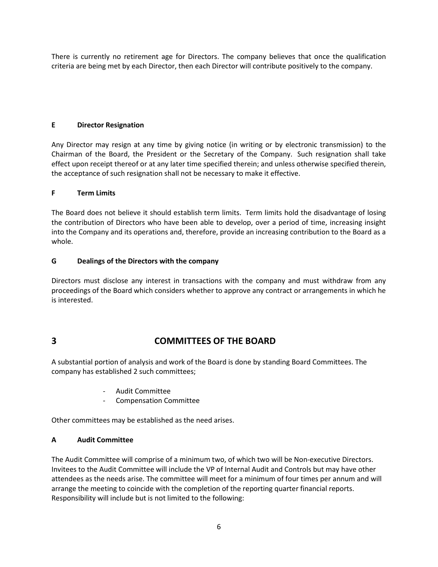There is currently no retirement age for Directors. The company believes that once the qualification criteria are being met by each Director, then each Director will contribute positively to the company.

#### E Director Resignation

Any Director may resign at any time by giving notice (in writing or by electronic transmission) to the Chairman of the Board, the President or the Secretary of the Company. Such resignation shall take effect upon receipt thereof or at any later time specified therein; and unless otherwise specified therein, the acceptance of such resignation shall not be necessary to make it effective.

#### F Term Limits

The Board does not believe it should establish term limits. Term limits hold the disadvantage of losing the contribution of Directors who have been able to develop, over a period of time, increasing insight into the Company and its operations and, therefore, provide an increasing contribution to the Board as a whole.

#### G Dealings of the Directors with the company

Directors must disclose any interest in transactions with the company and must withdraw from any proceedings of the Board which considers whether to approve any contract or arrangements in which he is interested.

## 3 COMMITTEES OF THE BOARD

A substantial portion of analysis and work of the Board is done by standing Board Committees. The company has established 2 such committees;

- Audit Committee
- Compensation Committee

Other committees may be established as the need arises.

#### A Audit Committee

The Audit Committee will comprise of a minimum two, of which two will be Non-executive Directors. Invitees to the Audit Committee will include the VP of Internal Audit and Controls but may have other attendees as the needs arise. The committee will meet for a minimum of four times per annum and will arrange the meeting to coincide with the completion of the reporting quarter financial reports. Responsibility will include but is not limited to the following: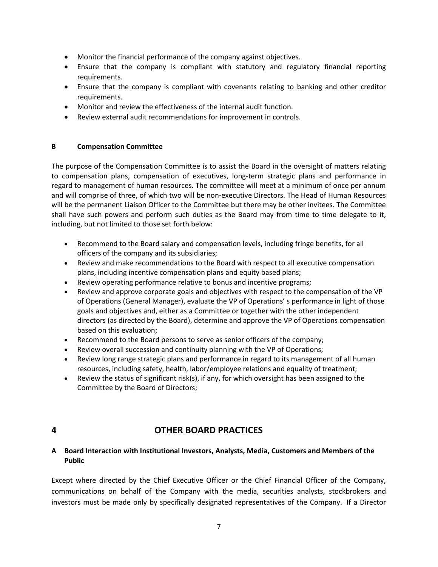- Monitor the financial performance of the company against objectives.
- Ensure that the company is compliant with statutory and regulatory financial reporting requirements.
- Ensure that the company is compliant with covenants relating to banking and other creditor requirements.
- Monitor and review the effectiveness of the internal audit function.
- Review external audit recommendations for improvement in controls.

#### B Compensation Committee

The purpose of the Compensation Committee is to assist the Board in the oversight of matters relating to compensation plans, compensation of executives, long-term strategic plans and performance in regard to management of human resources. The committee will meet at a minimum of once per annum and will comprise of three, of which two will be non-executive Directors. The Head of Human Resources will be the permanent Liaison Officer to the Committee but there may be other invitees. The Committee shall have such powers and perform such duties as the Board may from time to time delegate to it, including, but not limited to those set forth below:

- Recommend to the Board salary and compensation levels, including fringe benefits, for all officers of the company and its subsidiaries;
- Review and make recommendations to the Board with respect to all executive compensation plans, including incentive compensation plans and equity based plans;
- Review operating performance relative to bonus and incentive programs;
- Review and approve corporate goals and objectives with respect to the compensation of the VP of Operations (General Manager), evaluate the VP of Operations' s performance in light of those goals and objectives and, either as a Committee or together with the other independent directors (as directed by the Board), determine and approve the VP of Operations compensation based on this evaluation;
- Recommend to the Board persons to serve as senior officers of the company;
- Review overall succession and continuity planning with the VP of Operations;
- Review long range strategic plans and performance in regard to its management of all human resources, including safety, health, labor/employee relations and equality of treatment;
- **•** Review the status of significant risk(s), if any, for which oversight has been assigned to the Committee by the Board of Directors;

## 4 OTHER BOARD PRACTICES

#### A Board Interaction with Institutional Investors, Analysts, Media, Customers and Members of the Public

Except where directed by the Chief Executive Officer or the Chief Financial Officer of the Company, communications on behalf of the Company with the media, securities analysts, stockbrokers and investors must be made only by specifically designated representatives of the Company. If a Director